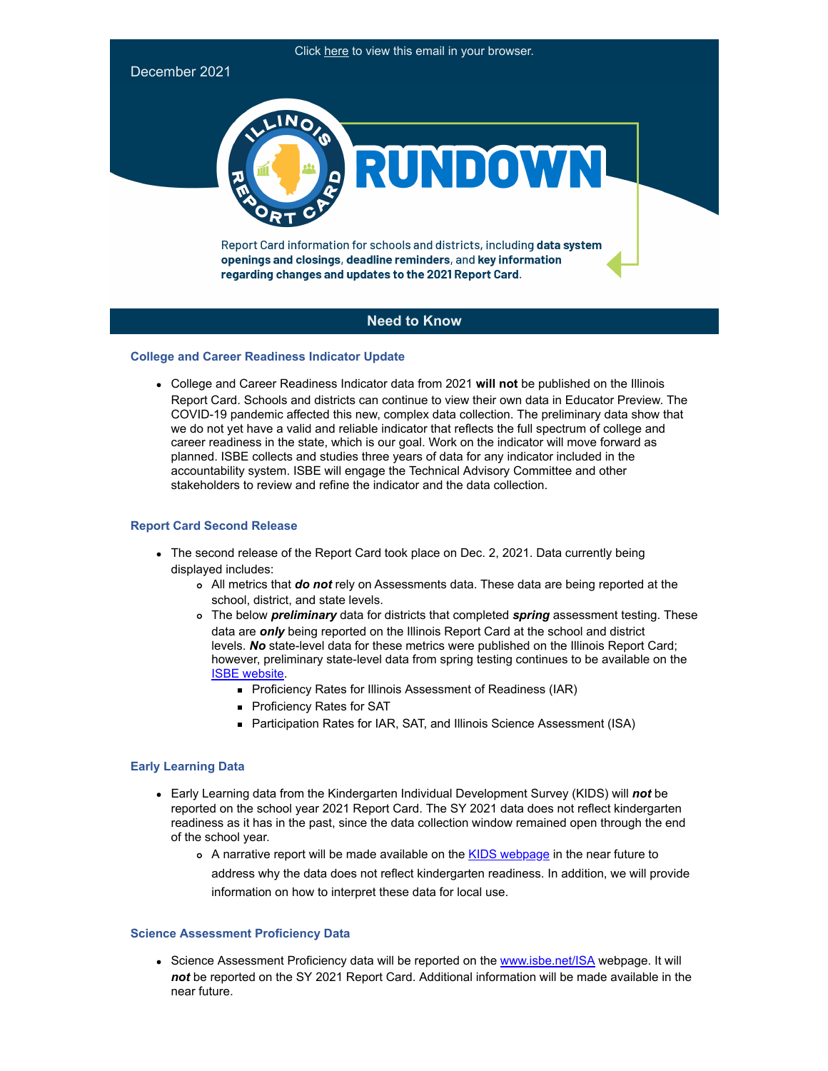

# **Need to Know**

## **College and Career Readiness Indicator Update**

College and Career Readiness Indicator data from 2021 **will not** be published on the Illinois Report Card. Schools and districts can continue to view their own data in Educator Preview. The COVID-19 pandemic affected this new, complex data collection. The preliminary data show that we do not yet have a valid and reliable indicator that reflects the full spectrum of college and career readiness in the state, which is our goal. Work on the indicator will move forward as planned. ISBE collects and studies three years of data for any indicator included in the accountability system. ISBE will engage the Technical Advisory Committee and other stakeholders to review and refine the indicator and the data collection.

## **Report Card Second Release**

- The second release of the Report Card took place on Dec. 2, 2021. Data currently being displayed includes:
	- All metrics that *do not* rely on Assessments data. These data are being reported at the school, district, and state levels.
	- The below *preliminary* data for districts that completed *spring* assessment testing. These data are *only* being reported on the Illinois Report Card at the school and district levels. *No* state-level data for these metrics were published on the Illinois Report Card; however, preliminary state-level data from spring testing continues to be available on the [ISBE website.](http://link.isbe.net/c/7/eyJhaSI6OTAyMDg4NDQsImUiOiJkZmFuZ21laUBpc2JlLm5ldCIsInJpIjoiY29udGFjdC0zN2I3OGQyOGUzYjdlYjExODIzNjAwMGQzYTVhNTU4ZS04MGJkMzlkNmNkM2M0YjU5ODEzZWU3ZTk4MTkwMDcyZCIsInJxIjoiMDItYjIxMzQ5LWI1NDA5NGY1OGZlNjQ1ZWI5OGY4NjIzNWE0NmZmOTQzIiwicGgiOm51bGwsIm0iOnRydWUsInVpIjoiMiIsInVuIjoiIiwidSI6Imh0dHBzOi8vd3d3LmlzYmUubmV0L19sYXlvdXRzL0Rvd25sb2FkLmFzcHg_U291cmNlVXJsPS9Eb2N1bWVudHMvU3RhdGUtTGV2ZWwtUHJlLUlBUi1TQVQtRGF0YS54bHN4Jl9jbGRlZT1aR1poYm1kdFpXbEFhWE5pWlM1dVpYUSUzZCZyZWNpcGllbnRpZD1jb250YWN0LTM3Yjc4ZDI4ZTNiN2ViMTE4MjM2MDAwZDNhNWE1NThlLTgwYmQzOWQ2Y2QzYzRiNTk4MTNlZTdlOTgxOTAwNzJkJmVzaWQ9MjI2MmZiOTMtZjc1OS1lYzExLThmOGYtMDAwZDNhNWNiZTI0In0/-jRaS32-3gxm4Zcu4B_B0Q)
		- **Proficiency Rates for Illinois Assessment of Readiness (IAR)**
		- **Proficiency Rates for SAT**
		- Participation Rates for IAR, SAT, and Illinois Science Assessment (ISA)

# **Early Learning Data**

- Early Learning data from the Kindergarten Individual Development Survey (KIDS) will *not* be reported on the school year 2021 Report Card. The SY 2021 data does not reflect kindergarten readiness as it has in the past, since the data collection window remained open through the end of the school year.
	- o A narrative report will be made available on the [KIDS webpage](http://link.isbe.net/c/7/eyJhaSI6OTAyMDg4NDQsImUiOiJkZmFuZ21laUBpc2JlLm5ldCIsInJpIjoiY29udGFjdC0zN2I3OGQyOGUzYjdlYjExODIzNjAwMGQzYTVhNTU4ZS04MGJkMzlkNmNkM2M0YjU5ODEzZWU3ZTk4MTkwMDcyZCIsInJxIjoiMDItYjIxMzQ5LWI1NDA5NGY1OGZlNjQ1ZWI5OGY4NjIzNWE0NmZmOTQzIiwicGgiOm51bGwsIm0iOnRydWUsInVpIjoiMyIsInVuIjoiIiwidSI6Imh0dHBzOi8vd3d3LmlzYmUubmV0L1BhZ2VzL0tJRFMtRGF0YS5hc3B4P19jbGRlZT1aR1poYm1kdFpXbEFhWE5pWlM1dVpYUSUzZCZyZWNpcGllbnRpZD1jb250YWN0LTM3Yjc4ZDI4ZTNiN2ViMTE4MjM2MDAwZDNhNWE1NThlLTgwYmQzOWQ2Y2QzYzRiNTk4MTNlZTdlOTgxOTAwNzJkJmVzaWQ9MjI2MmZiOTMtZjc1OS1lYzExLThmOGYtMDAwZDNhNWNiZTI0In0/f5W6sZKteLN11Wr82JkzIw) in the near future to address why the data does not reflect kindergarten readiness. In addition, we will provide information on how to interpret these data for local use.

#### **Science Assessment Proficiency Data**

• Science Assessment Proficiency data will be reported on the [www.isbe.net/ISA](http://link.isbe.net/c/7/eyJhaSI6OTAyMDg4NDQsImUiOiJkZmFuZ21laUBpc2JlLm5ldCIsInJpIjoiY29udGFjdC0zN2I3OGQyOGUzYjdlYjExODIzNjAwMGQzYTVhNTU4ZS04MGJkMzlkNmNkM2M0YjU5ODEzZWU3ZTk4MTkwMDcyZCIsInJxIjoiMDItYjIxMzQ5LWI1NDA5NGY1OGZlNjQ1ZWI5OGY4NjIzNWE0NmZmOTQzIiwicGgiOm51bGwsIm0iOnRydWUsInVpIjoiNCIsInVuIjoiIiwidSI6Imh0dHA6Ly93d3cuaXNiZS5uZXQvSVNBP19jbGRlZT1aR1poYm1kdFpXbEFhWE5pWlM1dVpYUSUzZCZyZWNpcGllbnRpZD1jb250YWN0LTM3Yjc4ZDI4ZTNiN2ViMTE4MjM2MDAwZDNhNWE1NThlLTgwYmQzOWQ2Y2QzYzRiNTk4MTNlZTdlOTgxOTAwNzJkJmVzaWQ9MjI2MmZiOTMtZjc1OS1lYzExLThmOGYtMDAwZDNhNWNiZTI0In0/LdCPe-MCNd4vVbLWg9FeOw) webpage. It will *not* be reported on the SY 2021 Report Card. Additional information will be made available in the near future.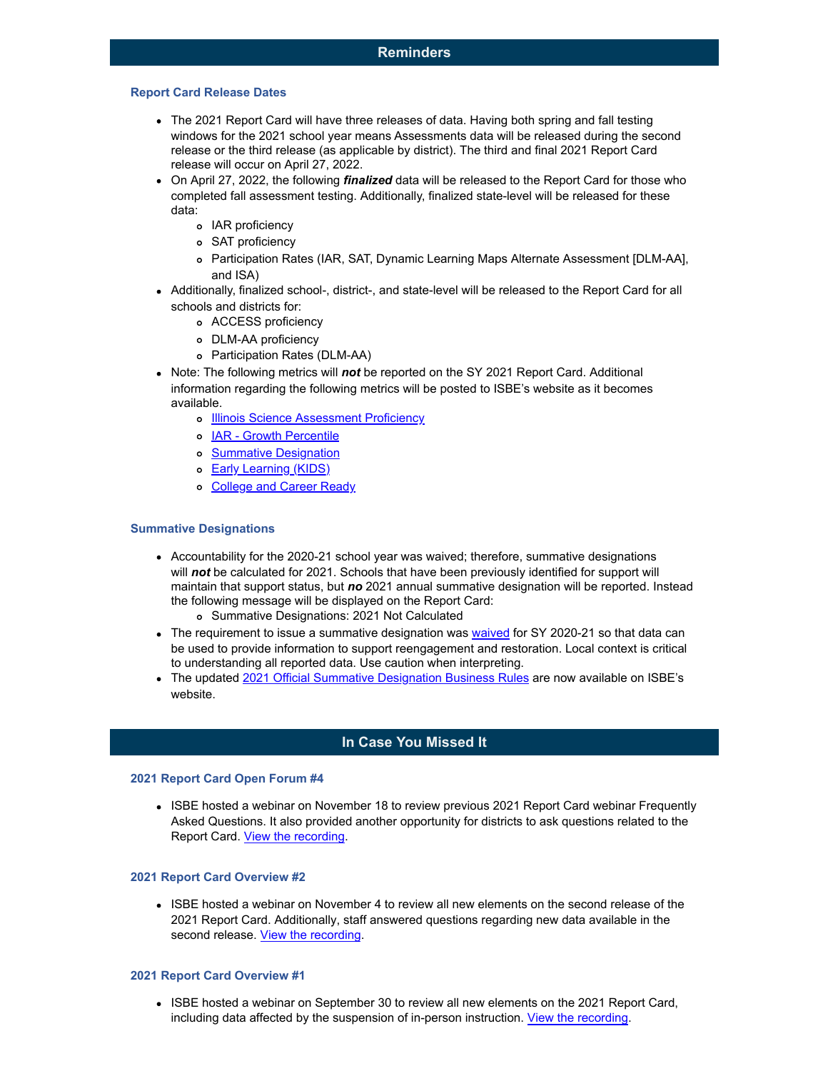#### **Report Card Release Dates**

- The 2021 Report Card will have three releases of data. Having both spring and fall testing windows for the 2021 school year means Assessments data will be released during the second release or the third release (as applicable by district). The third and final 2021 Report Card release will occur on April 27, 2022.
- On April 27, 2022, the following *finalized* data will be released to the Report Card for those who completed fall assessment testing. Additionally, finalized state-level will be released for these data:
	- o IAR proficiency
	- SAT proficiency
	- Participation Rates (IAR, SAT, Dynamic Learning Maps Alternate Assessment [DLM-AA], and ISA)
- Additionally, finalized school-, district-, and state-level will be released to the Report Card for all schools and districts for:
	- ACCESS proficiency
	- DLM-AA proficiency
	- Participation Rates (DLM-AA)
- Note: The following metrics will *not* be reported on the SY 2021 Report Card. Additional information regarding the following metrics will be posted to ISBE's website as it becomes available.
	- o [Illinois Science Assessment Proficiency](http://link.isbe.net/c/7/eyJhaSI6OTAyMDg4NDQsImUiOiJkZmFuZ21laUBpc2JlLm5ldCIsInJpIjoiY29udGFjdC0zN2I3OGQyOGUzYjdlYjExODIzNjAwMGQzYTVhNTU4ZS04MGJkMzlkNmNkM2M0YjU5ODEzZWU3ZTk4MTkwMDcyZCIsInJxIjoiMDItYjIxMzQ5LWI1NDA5NGY1OGZlNjQ1ZWI5OGY4NjIzNWE0NmZmOTQzIiwicGgiOm51bGwsIm0iOnRydWUsInVpIjoiNSIsInVuIjoiIiwidSI6Imh0dHA6Ly93d3cuaXNiZS5uZXQvSVNBP19jbGRlZT1aR1poYm1kdFpXbEFhWE5pWlM1dVpYUSUzZCZyZWNpcGllbnRpZD1jb250YWN0LTM3Yjc4ZDI4ZTNiN2ViMTE4MjM2MDAwZDNhNWE1NThlLTgwYmQzOWQ2Y2QzYzRiNTk4MTNlZTdlOTgxOTAwNzJkJmVzaWQ9MjI2MmZiOTMtZjc1OS1lYzExLThmOGYtMDAwZDNhNWNiZTI0In0/bSubadZ_yh-6WZxJ9ILyhw)
	- o [IAR Growth Percentile](http://link.isbe.net/c/7/eyJhaSI6OTAyMDg4NDQsImUiOiJkZmFuZ21laUBpc2JlLm5ldCIsInJpIjoiY29udGFjdC0zN2I3OGQyOGUzYjdlYjExODIzNjAwMGQzYTVhNTU4ZS04MGJkMzlkNmNkM2M0YjU5ODEzZWU3ZTk4MTkwMDcyZCIsInJxIjoiMDItYjIxMzQ5LWI1NDA5NGY1OGZlNjQ1ZWI5OGY4NjIzNWE0NmZmOTQzIiwicGgiOm51bGwsIm0iOnRydWUsInVpIjoiNiIsInVuIjoiIiwidSI6Imh0dHBzOi8vd3d3LmlzYmUubmV0L2lhcj9fY2xkZWU9WkdaaGJtZHRaV2xBYVhOaVpTNXVaWFElM2QmcmVjaXBpZW50aWQ9Y29udGFjdC0zN2I3OGQyOGUzYjdlYjExODIzNjAwMGQzYTVhNTU4ZS04MGJkMzlkNmNkM2M0YjU5ODEzZWU3ZTk4MTkwMDcyZCZlc2lkPTIyNjJmYjkzLWY3NTktZWMxMS04ZjhmLTAwMGQzYTVjYmUyNCJ9/0W7El7Fwz0AKavLV_gsMHg)
	- o [Summative Designation](http://link.isbe.net/c/7/eyJhaSI6OTAyMDg4NDQsImUiOiJkZmFuZ21laUBpc2JlLm5ldCIsInJpIjoiY29udGFjdC0zN2I3OGQyOGUzYjdlYjExODIzNjAwMGQzYTVhNTU4ZS04MGJkMzlkNmNkM2M0YjU5ODEzZWU3ZTk4MTkwMDcyZCIsInJxIjoiMDItYjIxMzQ5LWI1NDA5NGY1OGZlNjQ1ZWI5OGY4NjIzNWE0NmZmOTQzIiwicGgiOm51bGwsIm0iOnRydWUsInVpIjoiNyIsInVuIjoiIiwidSI6Imh0dHA6Ly93d3cuaXNiZS5uZXQvc3VtbWF0aXZlP19jbGRlZT1aR1poYm1kdFpXbEFhWE5pWlM1dVpYUSUzZCZyZWNpcGllbnRpZD1jb250YWN0LTM3Yjc4ZDI4ZTNiN2ViMTE4MjM2MDAwZDNhNWE1NThlLTgwYmQzOWQ2Y2QzYzRiNTk4MTNlZTdlOTgxOTAwNzJkJmVzaWQ9MjI2MmZiOTMtZjc1OS1lYzExLThmOGYtMDAwZDNhNWNiZTI0In0/Dn4Lp2O4ln26qvvRIGETXg)
	- o **[Early Learning \(KIDS\)](http://link.isbe.net/c/7/eyJhaSI6OTAyMDg4NDQsImUiOiJkZmFuZ21laUBpc2JlLm5ldCIsInJpIjoiY29udGFjdC0zN2I3OGQyOGUzYjdlYjExODIzNjAwMGQzYTVhNTU4ZS04MGJkMzlkNmNkM2M0YjU5ODEzZWU3ZTk4MTkwMDcyZCIsInJxIjoiMDItYjIxMzQ5LWI1NDA5NGY1OGZlNjQ1ZWI5OGY4NjIzNWE0NmZmOTQzIiwicGgiOm51bGwsIm0iOnRydWUsInVpIjoiOCIsInVuIjoiIiwidSI6Imh0dHBzOi8vd3d3LmlzYmUubmV0L1BhZ2VzL0tJRFMtRGF0YS5hc3B4P19jbGRlZT1aR1poYm1kdFpXbEFhWE5pWlM1dVpYUSUzZCZyZWNpcGllbnRpZD1jb250YWN0LTM3Yjc4ZDI4ZTNiN2ViMTE4MjM2MDAwZDNhNWE1NThlLTgwYmQzOWQ2Y2QzYzRiNTk4MTNlZTdlOTgxOTAwNzJkJmVzaWQ9MjI2MmZiOTMtZjc1OS1lYzExLThmOGYtMDAwZDNhNWNiZTI0In0/vee3WQ_G5__OWu3CChGuGw)**
	- o [College and Career](http://link.isbe.net/c/7/eyJhaSI6OTAyMDg4NDQsImUiOiJkZmFuZ21laUBpc2JlLm5ldCIsInJpIjoiY29udGFjdC0zN2I3OGQyOGUzYjdlYjExODIzNjAwMGQzYTVhNTU4ZS04MGJkMzlkNmNkM2M0YjU5ODEzZWU3ZTk4MTkwMDcyZCIsInJxIjoiMDItYjIxMzQ5LWI1NDA5NGY1OGZlNjQ1ZWI5OGY4NjIzNWE0NmZmOTQzIiwicGgiOm51bGwsIm0iOnRydWUsInVpIjoiOSIsInVuIjoiIiwidSI6Imh0dHBzOi8vd3d3LmlzYmUubmV0L1BhZ2VzL0FjY291bnRhYmlsaXR5LUluZGljYXRvcnMuYXNweD9fY2xkZWU9WkdaaGJtZHRaV2xBYVhOaVpTNXVaWFElM2QmcmVjaXBpZW50aWQ9Y29udGFjdC0zN2I3OGQyOGUzYjdlYjExODIzNjAwMGQzYTVhNTU4ZS04MGJkMzlkNmNkM2M0YjU5ODEzZWU3ZTk4MTkwMDcyZCZlc2lkPTIyNjJmYjkzLWY3NTktZWMxMS04ZjhmLTAwMGQzYTVjYmUyNCJ9/MQVyZZyO1al08Pdpi5qWoA) Ready

## **Summative Designations**

- Accountability for the 2020-21 school year was waived; therefore, summative designations will *not* be calculated for 2021. Schools that have been previously identified for support will maintain that support status, but *no* 2021 annual summative designation will be reported. Instead the following message will be displayed on the Report Card:
	- Summative Designations: 2021 Not Calculated
- The requirement to issue a summative designation was [waived](http://link.isbe.net/c/7/eyJhaSI6OTAyMDg4NDQsImUiOiJkZmFuZ21laUBpc2JlLm5ldCIsInJpIjoiY29udGFjdC0zN2I3OGQyOGUzYjdlYjExODIzNjAwMGQzYTVhNTU4ZS04MGJkMzlkNmNkM2M0YjU5ODEzZWU3ZTk4MTkwMDcyZCIsInJxIjoiMDItYjIxMzQ5LWI1NDA5NGY1OGZlNjQ1ZWI5OGY4NjIzNWE0NmZmOTQzIiwicGgiOm51bGwsIm0iOnRydWUsInVpIjoiMTAiLCJ1biI6IiIsInUiOiJodHRwczovL3d3dy5pc2JlLm5ldC9Eb2N1bWVudHMvaWwtYWNjdC13YWl2ZXItcmVzcG9uc2UucGRmP19jbGRlZT1aR1poYm1kdFpXbEFhWE5pWlM1dVpYUSUzZCZyZWNpcGllbnRpZD1jb250YWN0LTM3Yjc4ZDI4ZTNiN2ViMTE4MjM2MDAwZDNhNWE1NThlLTgwYmQzOWQ2Y2QzYzRiNTk4MTNlZTdlOTgxOTAwNzJkJmVzaWQ9MjI2MmZiOTMtZjc1OS1lYzExLThmOGYtMDAwZDNhNWNiZTI0In0/uSopxAZfyx5EOwHAKKeUgw) for SY 2020-21 so that data can be used to provide information to support reengagement and restoration. Local context is critical to understanding all reported data. Use caution when interpreting.
- The updated [2021 Official Summative Designation Business Rules](http://link.isbe.net/c/7/eyJhaSI6OTAyMDg4NDQsImUiOiJkZmFuZ21laUBpc2JlLm5ldCIsInJpIjoiY29udGFjdC0zN2I3OGQyOGUzYjdlYjExODIzNjAwMGQzYTVhNTU4ZS04MGJkMzlkNmNkM2M0YjU5ODEzZWU3ZTk4MTkwMDcyZCIsInJxIjoiMDItYjIxMzQ5LWI1NDA5NGY1OGZlNjQ1ZWI5OGY4NjIzNWE0NmZmOTQzIiwicGgiOm51bGwsIm0iOnRydWUsInVpIjoiMTEiLCJ1biI6IiIsInUiOiJodHRwczovL3d3dy5pc2JlLm5ldC9Eb2N1bWVudHMvU3VtbWF0aXZlLURlc2lnbmF0aW9uLUJ1cy1SdWxlcy5wZGY_X2NsZGVlPVpHWmhibWR0WldsQWFYTmlaUzV1WlhRJTNkJnJlY2lwaWVudGlkPWNvbnRhY3QtMzdiNzhkMjhlM2I3ZWIxMTgyMzYwMDBkM2E1YTU1OGUtODBiZDM5ZDZjZDNjNGI1OTgxM2VlN2U5ODE5MDA3MmQmZXNpZD0yMjYyZmI5My1mNzU5LWVjMTEtOGY4Zi0wMDBkM2E1Y2JlMjQifQ/bezyrGJZ90GuzyuXk-J1sA) are now available on ISBE's website.

# **In Case You Missed It**

#### **2021 Report Card Open Forum #4**

• ISBE hosted a webinar on November 18 to review previous 2021 Report Card webinar Frequently Asked Questions. It also provided another opportunity for districts to ask questions related to the Report Card. [View the recording](http://link.isbe.net/c/7/eyJhaSI6OTAyMDg4NDQsImUiOiJkZmFuZ21laUBpc2JlLm5ldCIsInJpIjoiY29udGFjdC0zN2I3OGQyOGUzYjdlYjExODIzNjAwMGQzYTVhNTU4ZS04MGJkMzlkNmNkM2M0YjU5ODEzZWU3ZTk4MTkwMDcyZCIsInJxIjoiMDItYjIxMzQ5LWI1NDA5NGY1OGZlNjQ1ZWI5OGY4NjIzNWE0NmZmOTQzIiwicGgiOm51bGwsIm0iOnRydWUsInVpIjoiMTIiLCJ1biI6IiIsInUiOiJodHRwczovL25hbTEwLnNhZmVsaW5rcy5wcm90ZWN0aW9uLm91dGxvb2suY29tLz91cmw9aHR0cHMlM0ElMkYlMkZhdHRlbmRlZS5nb3Rvd2ViaW5hci5jb20lMkZyZWNvcmRpbmclMkY3MjE1MjIzMzE5NTEwNDY0NTEzJmRhdGE9MDQlN0MwMSU3Q2RmYW5nbWVpJTQwaXNiZS5uZXQlN0MwNjIyOWQ1MTc5Y2Y0ODc4YTNlMjA4ZDlhYWJiNDg4MyU3QzAzNjRmZTg2NDljNjRhZjRiNTJjMzM1YTk5ZTU3N2QxJTdDMCU3QzAlN0M2Mzc3Mjg1NDM2MTA2ODYyNDYlN0NVbmtub3duJTdDVFdGcGJHWnNiM2Q4ZXlKV0lqb2lNQzR3TGpBd01EQWlMQ0pRSWpvaVYybHVNeklpTENKQlRpSTZJazFoYVd3aUxDSlhWQ0k2TW4wJTNEJTdDMzAwMCZzZGF0YT1QYkFRSEF6WDJSTXNYc2UxS01hZzFKZnFjMHMlMkZzMzJVNU9saVNYamk2NTQlM0QmcmVzZXJ2ZWQ9MCZfY2xkZWU9WkdaaGJtZHRaV2xBYVhOaVpTNXVaWFElM2QmcmVjaXBpZW50aWQ9Y29udGFjdC0zN2I3OGQyOGUzYjdlYjExODIzNjAwMGQzYTVhNTU4ZS04MGJkMzlkNmNkM2M0YjU5ODEzZWU3ZTk4MTkwMDcyZCZlc2lkPTIyNjJmYjkzLWY3NTktZWMxMS04ZjhmLTAwMGQzYTVjYmUyNCJ9/hiON53US228OMa1q4C7AxQ).

#### **2021 Report Card Overview #2**

ISBE hosted a webinar on November 4 to review all new elements on the second release of the 2021 Report Card. Additionally, staff answered questions regarding new data available in the second release. [View the recording](http://link.isbe.net/c/7/eyJhaSI6OTAyMDg4NDQsImUiOiJkZmFuZ21laUBpc2JlLm5ldCIsInJpIjoiY29udGFjdC0zN2I3OGQyOGUzYjdlYjExODIzNjAwMGQzYTVhNTU4ZS04MGJkMzlkNmNkM2M0YjU5ODEzZWU3ZTk4MTkwMDcyZCIsInJxIjoiMDItYjIxMzQ5LWI1NDA5NGY1OGZlNjQ1ZWI5OGY4NjIzNWE0NmZmOTQzIiwicGgiOm51bGwsIm0iOnRydWUsInVpIjoiMTMiLCJ1biI6IiIsInUiOiJodHRwczovL25hbTEwLnNhZmVsaW5rcy5wcm90ZWN0aW9uLm91dGxvb2suY29tLz91cmw9aHR0cHMlM0ElMkYlMkZhdHRlbmRlZS5nb3Rvd2ViaW5hci5jb20lMkZyZWNvcmRpbmclMkY4NjA2OTkyODM0MjIwMTQ1NDA5JmRhdGE9MDQlN0MwMSU3Q2RmYW5nbWVpJTQwaXNiZS5uZXQlN0M2YzdmNTQwNzMwZGQ0MjM4NjhlYzA4ZDlhMmY5OTUwNSU3QzAzNjRmZTg2NDljNjRhZjRiNTJjMzM1YTk5ZTU3N2QxJTdDMCU3QzAlN0M2Mzc3MjAwMTUxMDU0NjUwNzglN0NVbmtub3duJTdDVFdGcGJHWnNiM2Q4ZXlKV0lqb2lNQzR3TGpBd01EQWlMQ0pRSWpvaVYybHVNeklpTENKQlRpSTZJazFoYVd3aUxDSlhWQ0k2TW4wJTNEJTdDMTAwMCZzZGF0YT1mZ05OV0Vka0F4aDklMkY5NUtNSFBFZTh5OFJsRmZaV3RHazhsaVd2ZzVBOGclM0QmcmVzZXJ2ZWQ9MCZfY2xkZWU9WkdaaGJtZHRaV2xBYVhOaVpTNXVaWFElM2QmcmVjaXBpZW50aWQ9Y29udGFjdC0zN2I3OGQyOGUzYjdlYjExODIzNjAwMGQzYTVhNTU4ZS04MGJkMzlkNmNkM2M0YjU5ODEzZWU3ZTk4MTkwMDcyZCZlc2lkPTIyNjJmYjkzLWY3NTktZWMxMS04ZjhmLTAwMGQzYTVjYmUyNCJ9/-TlPEgZ-Q0h7islC46PgZg).

#### **2021 Report Card Overview #1**

ISBE hosted a webinar on September 30 to review all new elements on the 2021 Report Card, including data affected by the suspension of in-person instruction. [View the recording.](http://link.isbe.net/c/7/eyJhaSI6OTAyMDg4NDQsImUiOiJkZmFuZ21laUBpc2JlLm5ldCIsInJpIjoiY29udGFjdC0zN2I3OGQyOGUzYjdlYjExODIzNjAwMGQzYTVhNTU4ZS04MGJkMzlkNmNkM2M0YjU5ODEzZWU3ZTk4MTkwMDcyZCIsInJxIjoiMDItYjIxMzQ5LWI1NDA5NGY1OGZlNjQ1ZWI5OGY4NjIzNWE0NmZmOTQzIiwicGgiOm51bGwsIm0iOnRydWUsInVpIjoiMTQiLCJ1biI6IiIsInUiOiJodHRwczovL2F0dGVuZGVlLmdvdG93ZWJpbmFyLmNvbS9yZWNvcmRpbmcvNjQ2NzA4MjYyMTUzODQ5MTEzOD9fY2xkZWU9WkdaaGJtZHRaV2xBYVhOaVpTNXVaWFElM2QmcmVjaXBpZW50aWQ9Y29udGFjdC0zN2I3OGQyOGUzYjdlYjExODIzNjAwMGQzYTVhNTU4ZS04MGJkMzlkNmNkM2M0YjU5ODEzZWU3ZTk4MTkwMDcyZCZlc2lkPTIyNjJmYjkzLWY3NTktZWMxMS04ZjhmLTAwMGQzYTVjYmUyNCJ9/1N8AHFsO5n69YWunOxmYhA)